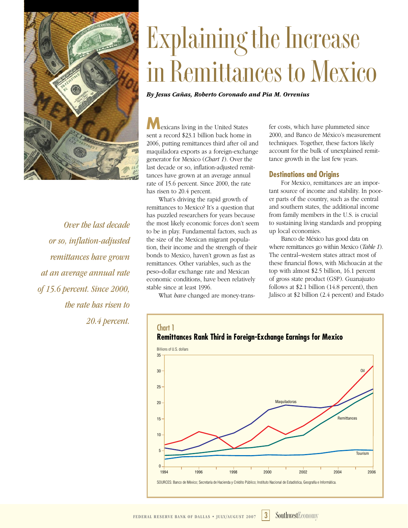

*Over the last decade or so, inflation-adjusted remittances have grown at an average annual rate of 15.6 percent. Since 2000, the rate has risen to 20.4 percent.* Chart 1

# **Explaining the Increase in Remittances to Mexico**

*By Jesus Cañas, Roberto Coronado and Pia M. Orrenius*

**M**exicans living in the United States sent a record \$23.1 billion back home in 2006, putting remittances third after oil and maquiladora exports as a foreign-exchange generator for Mexico (*Chart 1*). Over the last decade or so, inflation-adjusted remittances have grown at an average annual rate of 15.6 percent. Since 2000, the rate has risen to 20.4 percent.

What's driving the rapid growth of remittances to Mexico? It's a question that has puzzled researchers for years because the most likely economic forces don't seem to be in play. Fundamental factors, such as the size of the Mexican migrant population, their income and the strength of their bonds to Mexico, haven't grown as fast as remittances. Other variables, such as the peso–dollar exchange rate and Mexican economic conditions, have been relatively stable since at least 1996.

What *have* changed are money-trans-

fer costs, which have plummeted since 2000, and Banco de México's measurement techniques. Together, these factors likely account for the bulk of unexplained remittance growth in the last few years.

#### **Destinations and Origins**

For Mexico, remittances are an important source of income and stability. In poorer parts of the country, such as the central and southern states, the additional income from family members in the U.S. is crucial to sustaining living standards and propping up local economies.

Banco de México has good data on where remittances go within Mexico (*Table 1*). The central–western states attract most of these financial flows, with Michoacán at the top with almost \$2.5 billion, 16.1 percent of gross state product (GSP). Guanajuato follows at \$2.1 billion (14.8 percent), then Jalisco at \$2 billion (2.4 percent) and Estado



**Remittances Rank Third in Foreign-Exchange Earnings for Mexico**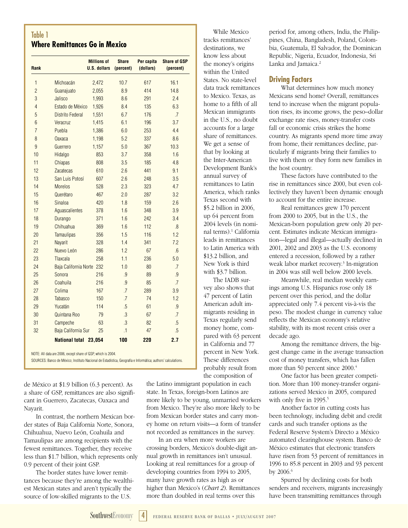# Table 1 **Where Remittances Go in Mexico**

| <b>Rank</b>    |                           | <b>Millions of</b><br><b>U.S. dollars</b> | <b>Share</b><br>(percent) | Per capita<br>(dollars) | <b>Share of GSP</b><br>(percent) |
|----------------|---------------------------|-------------------------------------------|---------------------------|-------------------------|----------------------------------|
| 1              | Michoacán                 | 2,472                                     | 10.7                      | 617                     | 16.1                             |
| $\overline{2}$ | Guanajuato                | 2,055                                     | 8.9                       | 414                     | 14.8                             |
| 3              | Jalisco                   | 1,993                                     | 8.6                       | 291                     | 2.4                              |
| 4              | Estado de México          | 1,926                                     | 8.4                       | 135                     | 6.3                              |
| 5              | <b>Distrito Federal</b>   | 1,551                                     | 6.7                       | 176                     | .7                               |
| 6              | Veracruz                  | 1,415                                     | 6.1                       | 196                     | 3.7                              |
| $\overline{7}$ | Puebla                    | 1,386                                     | 6.0                       | 253                     | 4.4                              |
| 8              | <b>Oaxaca</b>             | 1,198                                     | 5.2                       | 337                     | 8.6                              |
| 9              | Guerrero                  | 1,157                                     | 5.0                       | 367                     | 10.3                             |
| 10             | Hidalgo                   | 853                                       | 3.7                       | 358                     | 1.6                              |
| 11             | <b>Chiapas</b>            | 808                                       | 3.5                       | 185                     | 4.8                              |
| 12             | <b>Zacatecas</b>          | 610                                       | 2.6                       | 441                     | 9.1                              |
| 13             | San Luis Potosí           | 607                                       | 2.6                       | 248                     | 3.5                              |
| 14             | <b>Morelos</b>            | 528                                       | 2.3                       | 323                     | 4.7                              |
| 15             | Querétaro                 | 467                                       | 2.0                       | 287                     | 3.2                              |
| 16             | Sinaloa                   | 420                                       | 1.8                       | 159                     | 2.6                              |
| 17             | Aquascalientes            | 378                                       | 1.6                       | 348                     | 3.9                              |
| 18             | Durango                   | 371                                       | 1.6                       | 242                     | 3.4                              |
| 19             | Chihuahua                 | 369                                       | 1.6                       | 112                     | 8.5                              |
| 20             | <b>Tamaulipas</b>         | 356                                       | 1.5                       | 116                     | 1.2                              |
| 21             | <b>Navarit</b>            | 328                                       | 1.4                       | 341                     | 7.2                              |
| 22             | Nuevo León                | 286                                       | 1.2                       | 67                      | 6.6                              |
| 23             | <b>Tlaxcala</b>           | 258                                       | 1.1                       | 236                     | 5.0                              |
| 24             | Baja California Norte 232 |                                           | 1.0                       | 80 <sup>°</sup>         | .7                               |
| 25             | Sonora                    | 216                                       | .9                        | 89                      | .9                               |
| 26             | Coahuila                  | 216                                       | .9                        | 85                      | .7                               |
| 27             | Colima                    | 167                                       | .7                        | 289                     | 3.9                              |
| 28             | <b>Tabasco</b>            | 150                                       | .7                        | 74                      | 1.2                              |
| 29             | Yucatán                   | 114                                       | .5                        | 61                      | .9                               |
| 30             | Quintana Roo              | 79                                        | $\overline{3}$            | 67                      | .7                               |
| 31             | Campeche                  | 63                                        | $\overline{3}$            | 82                      | .5                               |
| 32             | Baja California Sur       | 25                                        | $\cdot$ 1                 | 47                      | .5                               |
|                | <b>National total</b>     | 23,054                                    | 100                       | 220                     | 2.7                              |

NOTE: All data are 2006, except share of GSP, which is 2004.

SOURCES: Banco de México; Instituto Nacional de Estadística, Geografía e Informática; authors' calculations.

de México at \$1.9 billion (6.3 percent). As a share of GSP, remittances are also significant in Guerrero, Zacatecas, Oaxaca and Nayarit.

In contrast, the northern Mexican border states of Baja California Norte, Sonora, Chihuahua, Nuevo León, Coahuila and Tamaulipas are among recipients with the fewest remittances. Together, they receive less than \$1.7 billion, which represents only 0.9 percent of their joint GSP.

The border states have lower remittances because they're among the wealthiest Mexican states and aren't typically the source of low-skilled migrants to the U.S.

 While Mexico tracks remittances' destinations, we know less about the money's origins within the United States. No state-level data track remittances to Mexico. Texas, as home to a fifth of all Mexican immigrants in the U.S., no doubt accounts for a large share of remittances. We get a sense of that by looking at the Inter-American Development Bank's annual survey of remittances to Latin America, which ranks Texas second with \$5.2 billion in 2006, up 64 percent from 2004 levels (in nominal terms).<sup>1</sup> California leads in remittances to Latin America with \$13.2 billion, and New York is third with \$3.7 billion.

 The IADB survey also shows that 47 percent of Latin American adult immigrants residing in Texas regularly send money home, compared with 63 percent in California and 77 percent in New York. These differences probably result from the composition of

the Latino immigrant population in each state. In Texas, foreign-born Latinos are more likely to be young, unmarried workers from Mexico. They're also more likely to be from Mexican border states and carry money home on return visits—a form of transfer not recorded as remittances in the survey.

In an era when more workers are crossing borders, Mexico's double-digit annual growth in remittances isn't unusual. Looking at real remittances for a group of developing countries from 1994 to 2005, many have growth rates as high as or higher than Mexico's (*Chart 2*). Remittances more than doubled in real terms over this

period for, among others, India, the Philippines, China, Bangladesh, Poland, Colombia, Guatemala, El Salvador, the Dominican Republic, Nigeria, Ecuador, Indonesia, Sri Lanka and Jamaica.<sup>2</sup>

#### **Driving Factors**

What determines how much money Mexicans send home? Overall, remittances tend to increase when the migrant population rises, its income grows, the peso–dollar exchange rate rises, money-transfer costs fall or economic crisis strikes the home country. As migrants spend more time away from home, their remittances decline, particularly if migrants bring their families to live with them or they form new families in the host country.

These factors have contributed to the rise in remittances since 2000, but even collectively they haven't been dynamic enough to account for the entire increase.

Real remittances grew 170 percent from 2000 to 2005, but in the U.S., the Mexican-born population grew only 20 percent. Estimates indicate Mexican immigration—legal and illegal—actually declined in 2001, 2002 and 2003 as the U.S. economy entered a recession, followed by a rather weak labor market recovery.<sup>3</sup> In-migration in 2004 was still well below 2000 levels.

Meanwhile, real median weekly earnings among U.S. Hispanics rose only 18 percent over this period, and the dollar appreciated only 7.4 percent vis-à-vis the peso. The modest change in currency value reflects the Mexican economy's relative stability, with its most recent crisis over a decade ago.

Among the remittance drivers, the biggest change came in the average transaction cost of money transfers, which has fallen more than 50 percent since 2000.<sup>4</sup>

One factor has been greater competition. More than 100 money-transfer organizations served Mexico in 2005, compared with only five in 1995.<sup>5</sup>

Another factor in cutting costs has been technology, including debit and credit cards and such transfer options as the Federal Reserve System's Directo a México automated clearinghouse system. Banco de México estimates that electronic transfers have risen from 53 percent of remittances in 1996 to 85.8 percent in 2003 and 93 percent by  $2006.6$ 

Spurred by declining costs for both senders and receivers, migrants increasingly have been transmitting remittances through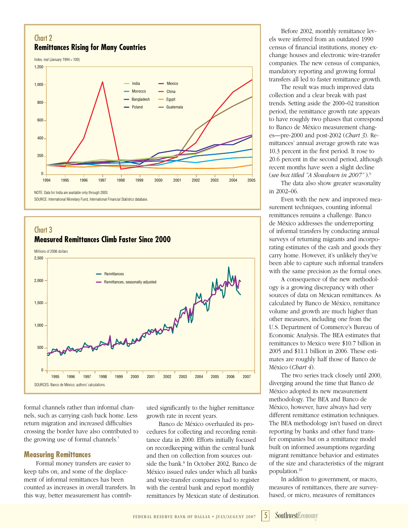# Chart 2 **Remittances Rising for Many Countries**

Index, real (January 1994 = 100)



# Chart 3 **Measured Remittances Climb Faster Since 2000**



formal channels rather than informal channels, such as carrying cash back home. Less return migration and increased difficulties crossing the border have also contributed to the growing use of formal channels.7

#### **Measuring Remittances**

Formal money transfers are easier to keep tabs on, and some of the displacement of informal remittances has been counted as increases in overall transfers. In this way, better measurement has contrib-

uted significantly to the higher remittance growth rate in recent years.

Banco de México overhauled its procedures for collecting and recording remittance data in 2000. Efforts initially focused on recordkeeping within the central bank and then on collection from sources outside the bank.<sup>8</sup> In October 2002, Banco de México issued rules under which all banks and wire-transfer companies had to register with the central bank and report monthly remittances by Mexican state of destination.

Before 2002, monthly remittance levels were inferred from an outdated 1990 census of financial institutions, money exchange houses and electronic wire-transfer companies. The new census of companies, mandatory reporting and growing formal transfers all led to faster remittance growth.

The result was much improved data collection and a clear break with past trends. Setting aside the 2000–02 transition period, the remittance growth rate appears to have roughly two phases that correspond to Banco de México measurement changes—pre-2000 and post-2002 (*Chart 3*). Remittances' annual average growth rate was 10.3 percent in the first period. It rose to 20.6 percent in the second period, although recent months have seen a slight decline (*see box titled "A Slowdown in 2007"* ).9

The data also show greater seasonality in 2002–06.

Even with the new and improved measurement techniques, counting informal remittances remains a challenge. Banco de México addresses the underreporting of informal transfers by conducting annual surveys of returning migrants and incorporating estimates of the cash and goods they carry home. However, it's unlikely they've been able to capture such informal transfers with the same precision as the formal ones.

A consequence of the new methodology is a growing discrepancy with other sources of data on Mexican remittances. As calculated by Banco de México, remittance volume and growth are much higher than other measures, including one from the U.S. Department of Commerce's Bureau of Economic Analysis. The BEA estimates that remittances to Mexico were \$10.7 billion in 2005 and \$11.1 billion in 2006. These estimates are roughly half those of Banco de México (*Chart 4*).

The two series track closely until 2000, diverging around the time that Banco de México adopted its new measurement methodology. The BEA and Banco de México, however, have always had very different remittance estimation techniques. The BEA methodology isn't based on direct reporting by banks and other fund transfer companies but on a remittance model built on informed assumptions regarding migrant remittance behavior and estimates of the size and characteristics of the migrant population.10

In addition to government, or macro, measures of remittances, there are surveybased, or micro, measures of remittances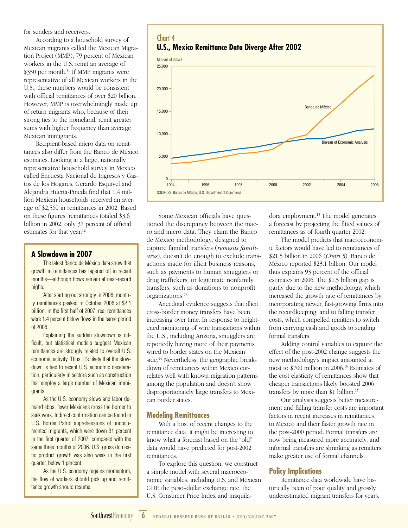for senders and receivers.

According to a household survey of Mexican migrants called the Mexican Migration Project (MMP), 79 percent of Mexican workers in the U.S. remit an average of  $$350$  per month.<sup>11</sup> If MMP migrants were representative of all Mexican workers in the U.S., these numbers would be consistent with official remittances of over \$20 billion. However, MMP is overwhelmingly made up of return migrants who, because of their strong ties to the homeland, remit greater sums with higher frequency than average Mexican immigrants.

Recipient-based micro data on remittances also differ from the Banco de México estimates. Looking at a large, nationally representative household survey in Mexico called Encuesta Nacional de Ingresos y Gastos de los Hogares, Gerardo Esquivel and Alejandra Huerta-Pineda find that 1.4 million Mexican households received an average of \$2,560 in remittances in 2002. Based on these figures, remittances totaled \$3.6 billion in 2002, only 37 percent of official estimates for that year.<sup>12</sup>

### **A Slowdown in 2007**

The latest Banco de México data show that growth in remittances has tapered off in recent months—although flows remain at near-record highs.

After starting out strongly in 2006, monthly remittances peaked in October 2006 at \$2.1 billion. In the first half of 2007, real remittances were 1.4 percent below flows in the same period of 2006.

Explaining the sudden slowdown is difficult, but statistical models suggest Mexican remittances are strongly related to overall U.S. economic activity. Thus, it's likely that the slowdown is tied to recent U.S. economic deceleration, particularly in sectors such as construction that employ a large number of Mexican immigrants.

As the U.S. economy slows and labor demand ebbs, fewer Mexicans cross the border to seek work. Indirect confirmation can be found in U.S. Border Patrol apprehensions of undocumented migrants, which were down 31 percent in the first quarter of 2007, compared with the same three months of 2006. U.S. gross domestic product growth was also weak in the first quarter, below 1 percent.

As the U.S. economy regains momentum, the flow of workers should pick up and remittance growth should resume.





Some Mexican officials have questioned the discrepancy between the macro and micro data. They claim the Banco de México methodology, designed to capture familial transfers (*remesas familiares*), doesn't do enough to exclude transactions made for illicit business reasons, such as payments to human smugglers or drug traffickers, or legitimate nonfamily transfers, such as donations to nonprofit organizations.13

Anecdotal evidence suggests that illicit cross-border money transfers have been increasing over time. In response to heightened monitoring of wire transactions within the U.S., including Arizona, smugglers are reportedly having more of their payments wired to border states on the Mexican side.<sup>14</sup> Nevertheless, the geographic breakdown of remittances within Mexico correlates well with known migration patterns among the population and doesn't show disproportionately large transfers to Mexican border states.

#### **Modeling Remittances**

With a host of recent changes to the remittance data, it might be interesting to know what a forecast based on the "old" data would have predicted for post-2002 remittances.

To explore this question, we construct a simple model with several macroeconomic variables, including U.S. and Mexican GDP, the peso–dollar exchange rate, the U.S. Consumer Price Index and maquiladora employment.15 The model generates a forecast by projecting the fitted values of remittances as of fourth quarter 2002.

The model predicts that macroeconomic factors would have led to remittances of \$21.5 billion in 2006 (*Chart 5*). Banco de México reported \$23.1 billion. Our model thus explains 93 percent of the official estimates in 2006. The \$1.5 billion gap is partly due to the new methodology, which increased the growth rate of remittances by incorporating newer, fast-growing firms into the recordkeeping, and to falling transfer costs, which compelled remitters to switch from carrying cash and goods to sending formal transfers.

Adding control variables to capture the effect of the post-2002 change suggests the new methodology's impact amounted at most to \$700 million in 2006.16 Estimates of the cost elasticity of remittances show that cheaper transactions likely boosted 2006 transfers by more than \$1 billion.<sup>17</sup>

Our analysis suggests better measurement and falling transfer costs are important factors in recent increases in remittances to Mexico and their faster growth rate in the post-2000 period. Formal transfers are now being measured more accurately, and informal transfers are shrinking as remitters make greater use of formal channels.

#### **Policy Implications**

Remittance data worldwide have historically been of poor quality and grossly underestimated migrant transfers for years.